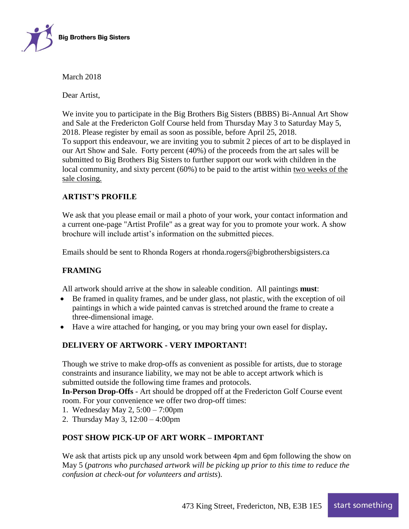

March 2018

Dear Artist,

We invite you to participate in the Big Brothers Big Sisters (BBBS) Bi-Annual Art Show and Sale at the Fredericton Golf Course held from Thursday May 3 to Saturday May 5, 2018. Please register by email as soon as possible, before April 25, 2018. To support this endeavour, we are inviting you to submit 2 pieces of art to be displayed in our Art Show and Sale. Forty percent (40%) of the proceeds from the art sales will be submitted to Big Brothers Big Sisters to further support our work with children in the local community, and sixty percent (60%) to be paid to the artist within two weeks of the sale closing.

## **ARTIST'S PROFILE**

We ask that you please email or mail a photo of your work, your contact information and a current one-page "Artist Profile" as a great way for you to promote your work. A show brochure will include artist's information on the submitted pieces.

Emails should be sent to Rhonda Rogers at rhonda.rogers@bigbrothersbigsisters.ca

## **FRAMING**

All artwork should arrive at the show in saleable condition. All paintings **must**:

- Be framed in quality frames, and be under glass, not plastic, with the exception of oil paintings in which a wide painted canvas is stretched around the frame to create a three-dimensional image.
- Have a wire attached for hanging, or you may bring your own easel for display**.**

## **DELIVERY OF ARTWORK - VERY IMPORTANT!**

Though we strive to make drop-offs as convenient as possible for artists, due to storage constraints and insurance liability, we may not be able to accept artwork which is submitted outside the following time frames and protocols.

**In-Person Drop-Offs** - Art should be dropped off at the Fredericton Golf Course event room. For your convenience we offer two drop-off times:

- 1. Wednesday May 2, 5:00 7:00pm
- 2. Thursday May 3, 12:00 4:00pm

## **POST SHOW PICK-UP OF ART WORK – IMPORTANT**

We ask that artists pick up any unsold work between 4pm and 6pm following the show on May 5 (*patrons who purchased artwork will be picking up prior to this time to reduce the confusion at check-out for volunteers and artists*).